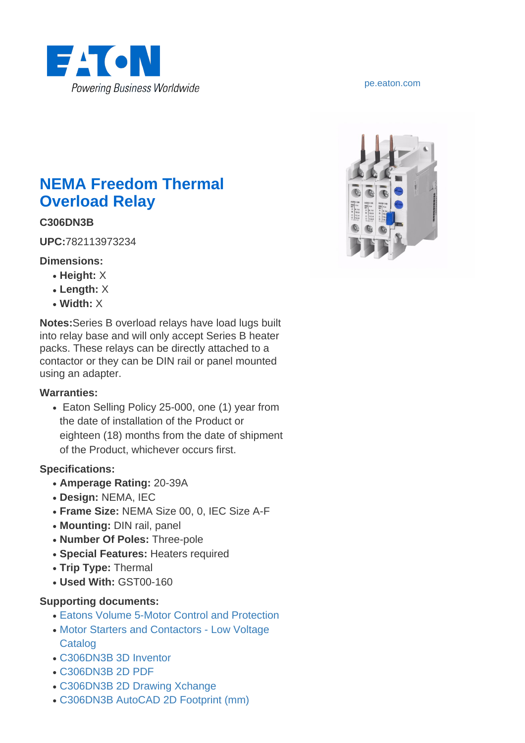

# **NEMA Freedom Thermal Overload Relay**

### **C306DN3B**

**UPC:**782113973234

#### **Dimensions:**

- **Height:** X
- **Length:** X
- **Width:** X

**Notes:**Series B overload relays have load lugs built into relay base and will only accept Series B heater packs. These relays can be directly attached to a contactor or they can be DIN rail or panel mounted using an adapter.

#### **Warranties:**

• Eaton Selling Policy 25-000, one (1) year from the date of installation of the Product or eighteen (18) months from the date of shipment of the Product, whichever occurs first.

#### **Specifications:**

- **Amperage Rating:** 20-39A
- **Design:** NEMA, IEC
- **Frame Size:** NEMA Size 00, 0, IEC Size A-F
- **Mounting:** DIN rail, panel
- **Number Of Poles:** Three-pole
- **Special Features:** Heaters required
- **Trip Type:** Thermal
- **Used With:** GST00-160

#### **Supporting documents:**

- [Eatons Volume 5-Motor Control and Protection](http://www.eaton.com/ecm/idcplg?IdcService=GET_FILE&allowInterrupt=1&RevisionSelectionMethod=LatestReleased&Rendition=Primary&dDocName=CA08100006E)
- [Motor Starters and Contactors Low Voltage](http://www.eaton.com/ecm/idcplg?IdcService=GET_FILE&allowInterrupt=1&RevisionSelectionMethod=LatestReleased&Rendition=Primary&dDocName=TB03300002E) **[Catalog](http://www.eaton.com/ecm/idcplg?IdcService=GET_FILE&allowInterrupt=1&RevisionSelectionMethod=LatestReleased&Rendition=Primary&dDocName=TB03300002E)**
- [C306DN3B 3D Inventor](http://www.eaton.com/ecm/idcplg?IdcService=GET_FILE&allowInterrupt=1&RevisionSelectionMethod=LatestReleased&noSaveAs=0&Rendition=Primary&dDocName=C306DN3B.ipt_62629)
- [C306DN3B 2D PDF](http://www.eaton.com/ecm/idcplg?IdcService=GET_FILE&allowInterrupt=1&RevisionSelectionMethod=LatestReleased&noSaveAs=0&Rendition=Primary&dDocName=C306DN3B.idw.pdf_64088)
- [C306DN3B 2D Drawing Xchange](http://www.eaton.com/ecm/idcplg?IdcService=GET_FILE&allowInterrupt=1&RevisionSelectionMethod=LatestReleased&noSaveAs=0&Rendition=Primary&dDocName=C306DN3B.dxf_24112)
- [C306DN3B AutoCAD 2D Footprint \(mm\)](http://www.eaton.com/ecm/idcplg?IdcService=GET_FILE&allowInterrupt=1&RevisionSelectionMethod=LatestReleased&noSaveAs=0&Rendition=Primary&dDocName=C306DN3B(mm).DWG_57370)

#### <pe.eaton.com>